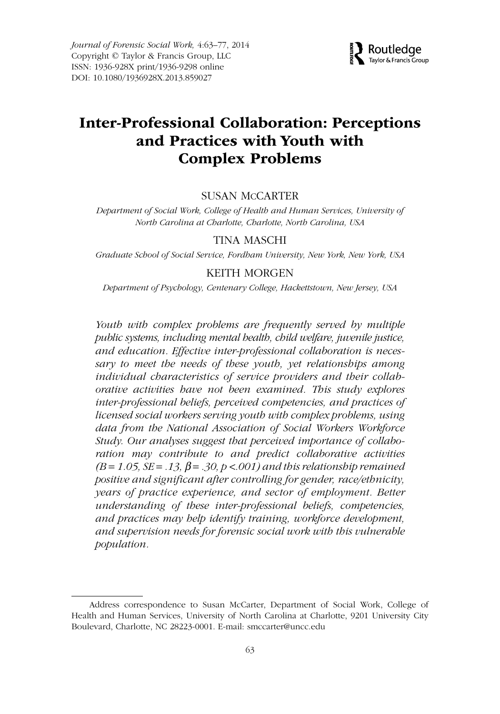

# **Inter-Professional Collaboration: Perceptions and Practices with Youth with Complex Problems**

### SUSAN MCCARTER

Department of Social Work, College of Health and Human Services, University of North Carolina at Charlotte, Charlotte, North Carolina, USA

### TINA MASCHI

Graduate School of Social Service, Fordham University, New York, New York, USA

# KEITH MORGEN

Department of Psychology, Centenary College, Hackettstown, New Jersey, USA

Youth with complex problems are frequently served by multiple public systems, including mental health, child welfare, juvenile justice, and education. Effective inter-professional collaboration is necessary to meet the needs of these youth, yet relationships among individual characteristics of service providers and their collaborative activities have not been examined. This study explores inter-professional beliefs, perceived competencies, and practices of licensed social workers serving youth with complex problems, using data from the National Association of Social Workers Workforce Study. Our analyses suggest that perceived importance of collaboration may contribute to and predict collaborative activities  $(B = 1.05, SE = .13, \beta = .30, p < .001)$  and this relationship remained positive and significant after controlling for gender, race/ethnicity, years of practice experience, and sector of employment. Better understanding of these inter-professional beliefs, competencies, and practices may help identify training, workforce development, and supervision needs for forensic social work with this vulnerable population.

Address correspondence to Susan McCarter, Department of Social Work, College of Health and Human Services, University of North Carolina at Charlotte, 9201 University City Boulevard, Charlotte, NC 28223-0001. E-mail: smccarter@uncc.edu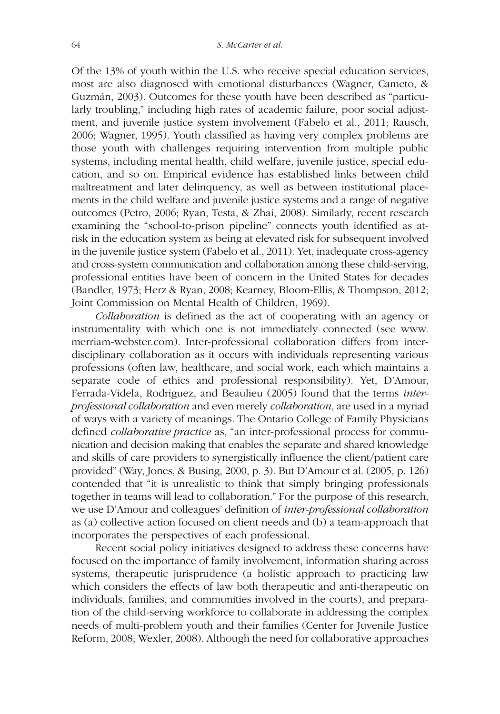Of the 13% of youth within the U.S. who receive special education services, most are also diagnosed with emotional disturbances (Wagner, Cameto, & Guzmán, 2003). Outcomes for these youth have been described as "particularly troubling," including high rates of academic failure, poor social adjustment, and juvenile justice system involvement (Fabelo et al., 2011; Rausch, 2006; Wagner, 1995). Youth classified as having very complex problems are those youth with challenges requiring intervention from multiple public systems, including mental health, child welfare, juvenile justice, special education, and so on. Empirical evidence has established links between child maltreatment and later delinquency, as well as between institutional placements in the child welfare and juvenile justice systems and a range of negative outcomes (Petro, 2006; Ryan, Testa, & Zhai, 2008). Similarly, recent research examining the "school-to-prison pipeline" connects youth identified as atrisk in the education system as being at elevated risk for subsequent involved in the juvenile justice system (Fabelo et al., 2011). Yet, inadequate cross-agency and cross-system communication and collaboration among these child-serving, professional entities have been of concern in the United States for decades (Bandler, 1973; Herz & Ryan, 2008; Kearney, Bloom-Ellis, & Thompson, 2012; Joint Commission on Mental Health of Children, 1969).

Collaboration is defined as the act of cooperating with an agency or instrumentality with which one is not immediately connected (see www. merriam-webster.com). Inter-professional collaboration differs from interdisciplinary collaboration as it occurs with individuals representing various professions (often law, healthcare, and social work, each which maintains a separate code of ethics and professional responsibility). Yet, D'Amour, Ferrada-Videla, Rodriguez, and Beaulieu (2005) found that the terms interprofessional collaboration and even merely collaboration, are used in a myriad of ways with a variety of meanings. The Ontario College of Family Physicians defined *collaborative practice* as, "an inter-professional process for communication and decision making that enables the separate and shared knowledge and skills of care providers to synergistically influence the client/patient care provided" (Way, Jones, & Busing, 2000, p. 3). But D'Amour et al. (2005, p. 126) contended that "it is unrealistic to think that simply bringing professionals together in teams will lead to collaboration." For the purpose of this research, we use D'Amour and colleagues' definition of *inter-professional collaboration* as (a) collective action focused on client needs and (b) a team-approach that incorporates the perspectives of each professional.

Recent social policy initiatives designed to address these concerns have focused on the importance of family involvement, information sharing across systems, therapeutic jurisprudence (a holistic approach to practicing law which considers the effects of law both therapeutic and anti-therapeutic on individuals, families, and communities involved in the courts), and preparation of the child-serving workforce to collaborate in addressing the complex needs of multi-problem youth and their families (Center for Juvenile Justice Reform, 2008; Wexler, 2008). Although the need for collaborative approaches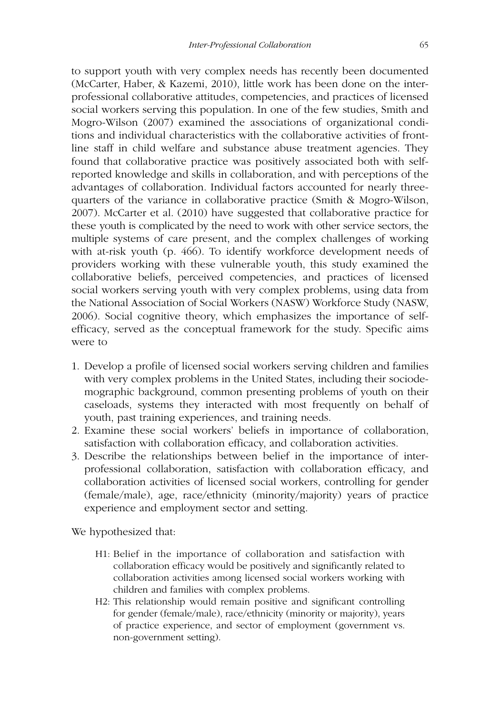to support youth with very complex needs has recently been documented (McCarter, Haber, & Kazemi, 2010), little work has been done on the interprofessional collaborative attitudes, competencies, and practices of licensed social workers serving this population. In one of the few studies, Smith and Mogro-Wilson (2007) examined the associations of organizational conditions and individual characteristics with the collaborative activities of frontline staff in child welfare and substance abuse treatment agencies. They found that collaborative practice was positively associated both with selfreported knowledge and skills in collaboration, and with perceptions of the advantages of collaboration. Individual factors accounted for nearly threequarters of the variance in collaborative practice (Smith & Mogro-Wilson, 2007). McCarter et al. (2010) have suggested that collaborative practice for these youth is complicated by the need to work with other service sectors, the multiple systems of care present, and the complex challenges of working with at-risk youth (p. 466). To identify workforce development needs of providers working with these vulnerable youth, this study examined the collaborative beliefs, perceived competencies, and practices of licensed social workers serving youth with very complex problems, using data from the National Association of Social Workers (NASW) Workforce Study (NASW, 2006). Social cognitive theory, which emphasizes the importance of selfefficacy, served as the conceptual framework for the study. Specific aims were to

- 1. Develop a profile of licensed social workers serving children and families with very complex problems in the United States, including their sociodemographic background, common presenting problems of youth on their caseloads, systems they interacted with most frequently on behalf of youth, past training experiences, and training needs.
- 2. Examine these social workers' beliefs in importance of collaboration, satisfaction with collaboration efficacy, and collaboration activities.
- 3. Describe the relationships between belief in the importance of interprofessional collaboration, satisfaction with collaboration efficacy, and collaboration activities of licensed social workers, controlling for gender (female/male), age, race/ethnicity (minority/majority) years of practice experience and employment sector and setting.

We hypothesized that:

- H1: Belief in the importance of collaboration and satisfaction with collaboration efficacy would be positively and significantly related to collaboration activities among licensed social workers working with children and families with complex problems.
- H2: This relationship would remain positive and significant controlling for gender (female/male), race/ethnicity (minority or majority), years of practice experience, and sector of employment (government vs. non-government setting).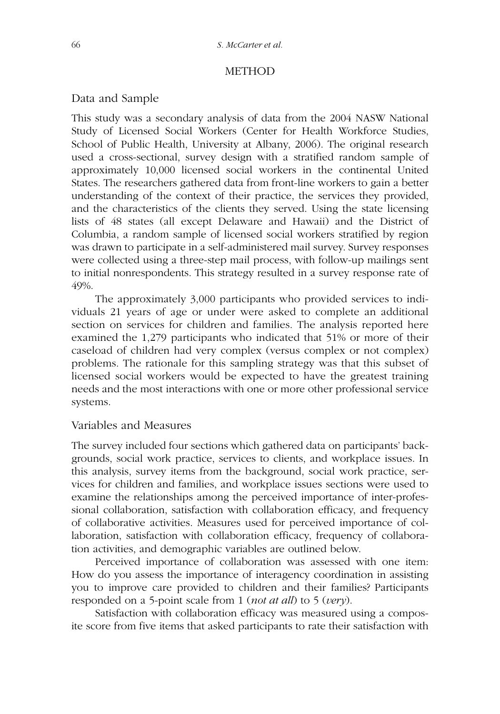#### **METHOD**

### Data and Sample

This study was a secondary analysis of data from the 2004 NASW National Study of Licensed Social Workers (Center for Health Workforce Studies, School of Public Health, University at Albany, 2006). The original research used a cross-sectional, survey design with a stratified random sample of approximately 10,000 licensed social workers in the continental United States. The researchers gathered data from front-line workers to gain a better understanding of the context of their practice, the services they provided, and the characteristics of the clients they served. Using the state licensing lists of 48 states (all except Delaware and Hawaii) and the District of Columbia, a random sample of licensed social workers stratified by region was drawn to participate in a self-administered mail survey. Survey responses were collected using a three-step mail process, with follow-up mailings sent to initial nonrespondents. This strategy resulted in a survey response rate of 49%.

The approximately 3,000 participants who provided services to individuals 21 years of age or under were asked to complete an additional section on services for children and families. The analysis reported here examined the 1,279 participants who indicated that 51% or more of their caseload of children had very complex (versus complex or not complex) problems. The rationale for this sampling strategy was that this subset of licensed social workers would be expected to have the greatest training needs and the most interactions with one or more other professional service systems.

# Variables and Measures

The survey included four sections which gathered data on participants' backgrounds, social work practice, services to clients, and workplace issues. In this analysis, survey items from the background, social work practice, services for children and families, and workplace issues sections were used to examine the relationships among the perceived importance of inter-professional collaboration, satisfaction with collaboration efficacy, and frequency of collaborative activities. Measures used for perceived importance of collaboration, satisfaction with collaboration efficacy, frequency of collaboration activities, and demographic variables are outlined below.

Perceived importance of collaboration was assessed with one item: How do you assess the importance of interagency coordination in assisting you to improve care provided to children and their families? Participants responded on a 5-point scale from 1 (*not at all*) to 5 (*very*).

Satisfaction with collaboration efficacy was measured using a composite score from five items that asked participants to rate their satisfaction with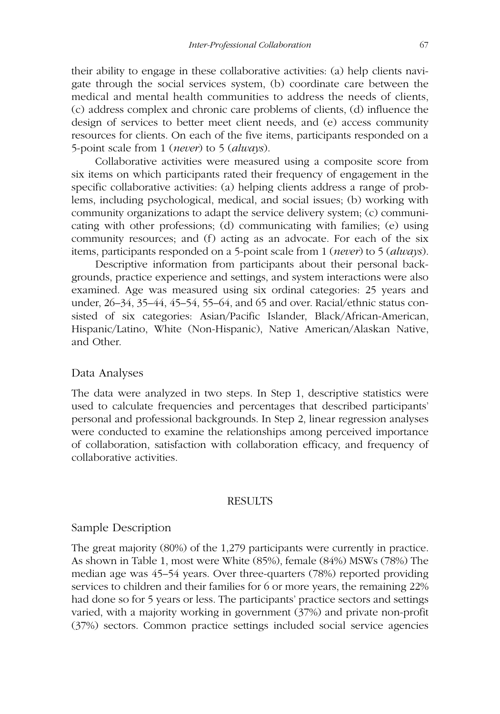their ability to engage in these collaborative activities: (a) help clients navigate through the social services system, (b) coordinate care between the medical and mental health communities to address the needs of clients, (c) address complex and chronic care problems of clients, (d) influence the design of services to better meet client needs, and (e) access community resources for clients. On each of the five items, participants responded on a 5-point scale from 1 (never) to 5 (always).

Collaborative activities were measured using a composite score from six items on which participants rated their frequency of engagement in the specific collaborative activities: (a) helping clients address a range of problems, including psychological, medical, and social issues; (b) working with community organizations to adapt the service delivery system; (c) communicating with other professions; (d) communicating with families; (e) using community resources; and (f) acting as an advocate. For each of the six items, participants responded on a 5-point scale from 1 (never) to 5 (always).

Descriptive information from participants about their personal backgrounds, practice experience and settings, and system interactions were also examined. Age was measured using six ordinal categories: 25 years and under, 26–34, 35–44, 45–54, 55–64, and 65 and over. Racial/ethnic status consisted of six categories: Asian/Pacific Islander, Black/African-American, Hispanic/Latino, White (Non-Hispanic), Native American/Alaskan Native, and Other.

### Data Analyses

The data were analyzed in two steps. In Step 1, descriptive statistics were used to calculate frequencies and percentages that described participants' personal and professional backgrounds. In Step 2, linear regression analyses were conducted to examine the relationships among perceived importance of collaboration, satisfaction with collaboration efficacy, and frequency of collaborative activities.

#### RESULTS

#### Sample Description

The great majority (80%) of the 1,279 participants were currently in practice. As shown in Table 1, most were White (85%), female (84%) MSWs (78%) The median age was 45–54 years. Over three-quarters (78%) reported providing services to children and their families for 6 or more years, the remaining 22% had done so for 5 years or less. The participants' practice sectors and settings varied, with a majority working in government (37%) and private non-profit (37%) sectors. Common practice settings included social service agencies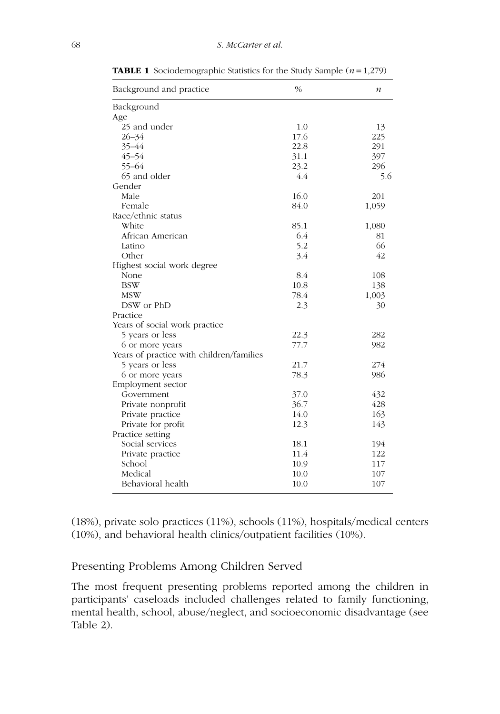| Background and practice                  | $\frac{0}{0}$ | $\boldsymbol{n}$ |
|------------------------------------------|---------------|------------------|
| Background                               |               |                  |
| Age                                      |               |                  |
| 25 and under                             | 1.0           | 13               |
| $26 - 34$                                | 17.6          | 225              |
| 35-44                                    | 22.8          | 291              |
| $45 - 54$                                | 31.1          | 397              |
| $55 - 64$                                | 23.2          | 296              |
| 65 and older                             | 4.4           | 5.6              |
| Gender                                   |               |                  |
| Male                                     | 16.0          | 201              |
| Female                                   | 84.0          | 1,059            |
| Race/ethnic status                       |               |                  |
| White                                    | 85.1          | 1,080            |
| African American                         | 6.4           | 81               |
| Latino                                   | 5.2           | 66               |
| Other                                    | 3.4           | 42               |
| Highest social work degree               |               |                  |
| None                                     | 8.4           | 108              |
| <b>BSW</b>                               | 10.8          | 138              |
| <b>MSW</b>                               | 78.4          | 1,003            |
| DSW or PhD                               | 2.3           | 30               |
| Practice                                 |               |                  |
| Years of social work practice            |               |                  |
| 5 years or less                          | 22.3          | 282              |
| 6 or more years                          | 77.7          | 982              |
| Years of practice with children/families |               |                  |
| 5 years or less                          | 21.7          | 274              |
| 6 or more years                          | 78.3          | 986              |
| Employment sector                        |               |                  |
| Government                               | 37.0          | 432              |
| Private nonprofit                        | 36.7          | 428              |
| Private practice                         | 14.0          | 163              |
| Private for profit                       | 12.3          | 143              |
| Practice setting                         |               |                  |
| Social services                          | 18.1          | 194              |
| Private practice                         | 11.4          | 122              |
| School                                   | 10.9          | 117              |
| Medical                                  | 10.0          | 107              |
| Behavioral health                        | 10.0          | 107              |

**TABLE 1** Sociodemographic Statistics for the Study Sample  $(n = 1,279)$ 

(18%), private solo practices (11%), schools (11%), hospitals/medical centers (10%), and behavioral health clinics/outpatient facilities (10%).

# Presenting Problems Among Children Served

The most frequent presenting problems reported among the children in participants' caseloads included challenges related to family functioning, mental health, school, abuse/neglect, and socioeconomic disadvantage (see Table 2).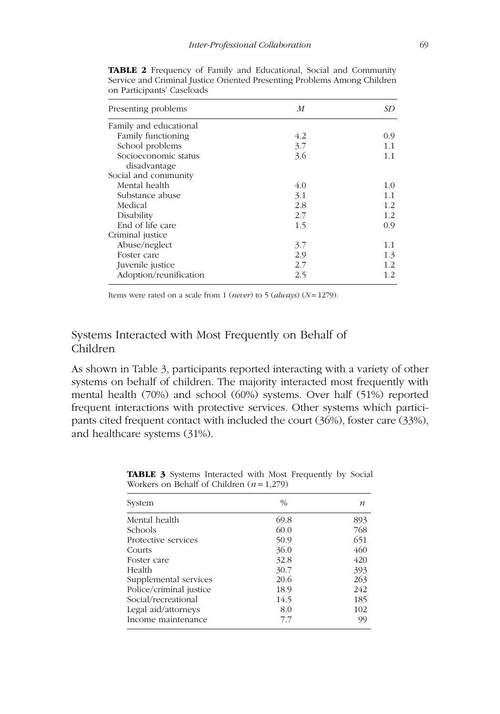| Presenting problems    | M   | SD  |
|------------------------|-----|-----|
| Family and educational |     |     |
| Family functioning     | 4.2 | 0.9 |
| School problems        | 3.7 | 1.1 |
| Socioeconomic status   | 3.6 | 1.1 |
| disadvantage           |     |     |
| Social and community   |     |     |
| Mental health          | 4.0 | 1.0 |
| Substance abuse        | 3.1 | 11  |
| Medical                | 2.8 | 1.2 |
| Disability             | 2.7 | 1.2 |
| End of life care       | 1.5 | 0.9 |
| Criminal justice       |     |     |
| Abuse/neglect          | 3.7 | 1.1 |
| Foster care            | 2.9 | 1.3 |
| Juvenile justice       | 2.7 | 1.2 |
| Adoption/reunification | 2.5 | 1.2 |

**TABLE 2** Frequency of Family and Educational, Social and Community Service and Criminal Justice Oriented Presenting Problems Among Children on Participants' Caseloads

Items were rated on a scale from 1 (*never*) to 5 (*always*) ( $N = 1279$ ).

# Systems Interacted with Most Frequently on Behalf of Children

As shown in Table 3, participants reported interacting with a variety of other systems on behalf of children. The majority interacted most frequently with mental health (70%) and school (60%) systems. Over half (51%) reported frequent interactions with protective services. Other systems which participants cited frequent contact with included the court (36%), foster care (33%), and healthcare systems (31%).

| System                  | $\frac{0}{0}$ | n   |
|-------------------------|---------------|-----|
| Mental health           | 69.8          | 893 |
| <b>Schools</b>          | 60.0          | 768 |
| Protective services     | 50.9          | 651 |
| Courts                  | 36.0          | 460 |
| Foster care             | 32.8          | 420 |
| Health                  | 30.7          | 393 |
| Supplemental services   | 20.6          | 263 |
| Police/criminal justice | 18.9          | 242 |
| Social/recreational     | 14.5          | 185 |
| Legal aid/attorneys     | 8.0           | 102 |
| Income maintenance      | 7.7           | 99  |

**TABLE 3** Systems Interacted with Most Frequently by Social Workers on Behalf of Children  $(n=1,279)$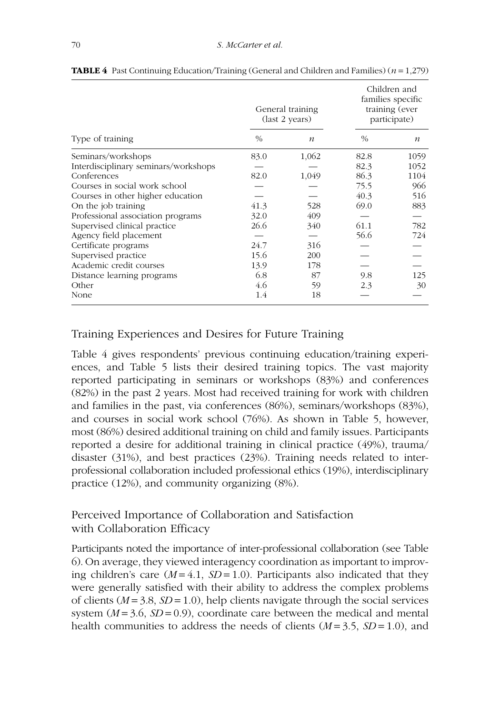|                                      |               | General training<br>(last 2 years) | Children and<br>families specific<br>training (ever<br>participate) |                  |
|--------------------------------------|---------------|------------------------------------|---------------------------------------------------------------------|------------------|
| Type of training                     | $\frac{0}{0}$ | $\boldsymbol{n}$                   | $\frac{0}{0}$                                                       | $\boldsymbol{n}$ |
| Seminars/workshops                   | 83.0          | 1,062                              | 82.8                                                                | 1059             |
| Interdisciplinary seminars/workshops |               |                                    | 82.3                                                                | 1052             |
| Conferences                          | 82.0          | 1,049                              | 86.3                                                                | 1104             |
| Courses in social work school        |               |                                    | 75.5                                                                | 966              |
| Courses in other higher education    |               |                                    | 40.3                                                                | 516              |
| On the job training                  | 41.3          | 528                                | 69.0                                                                | 883              |
| Professional association programs    | 32.0          | 409                                |                                                                     |                  |
| Supervised clinical practice         | 26.6          | 340                                | 61.1                                                                | 782              |
| Agency field placement               |               |                                    | 56.6                                                                | 724              |
| Certificate programs                 | 24.7          | 316                                |                                                                     |                  |
| Supervised practice                  | 15.6          | 200                                |                                                                     |                  |
| Academic credit courses              | 13.9          | 178                                |                                                                     |                  |
| Distance learning programs           | 6.8           | 87                                 | 9.8                                                                 | 125              |
| Other                                | 4.6           | 59                                 | 2.3                                                                 | 30               |
| None                                 | 1.4           | 18                                 |                                                                     |                  |

**TABLE 4** Past Continuing Education/Training (General and Children and Families)  $(n = 1,279)$ 

# Training Experiences and Desires for Future Training

Table 4 gives respondents' previous continuing education/training experiences, and Table 5 lists their desired training topics. The vast majority reported participating in seminars or workshops (83%) and conferences (82%) in the past 2 years. Most had received training for work with children and families in the past, via conferences (86%), seminars/workshops (83%), and courses in social work school (76%). As shown in Table 5, however, most (86%) desired additional training on child and family issues. Participants reported a desire for additional training in clinical practice (49%), trauma/ disaster (31%), and best practices (23%). Training needs related to interprofessional collaboration included professional ethics (19%), interdisciplinary practice (12%), and community organizing (8%).

# Perceived Importance of Collaboration and Satisfaction with Collaboration Efficacy

Participants noted the importance of inter-professional collaboration (see Table 6). On average, they viewed interagency coordination as important to improving children's care  $(M = 4.1, SD = 1.0)$ . Participants also indicated that they were generally satisfied with their ability to address the complex problems of clients  $(M = 3.8, SD = 1.0)$ , help clients navigate through the social services system  $(M = 3.6, SD = 0.9)$ , coordinate care between the medical and mental health communities to address the needs of clients  $(M = 3.5, SD = 1.0)$ , and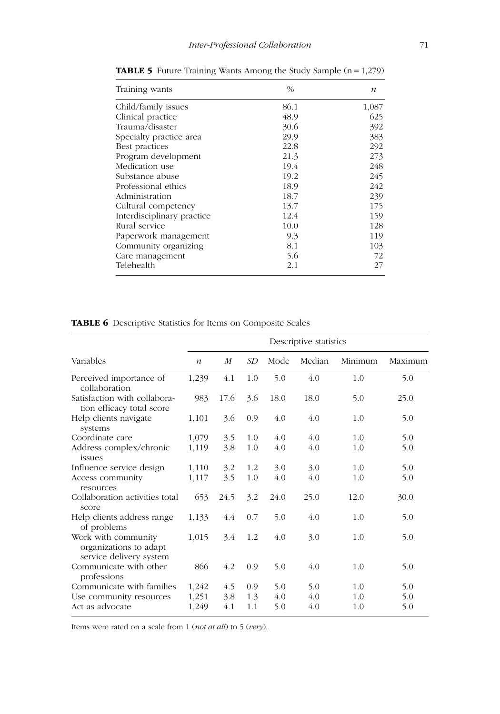| Training wants             | $\%$ | $\boldsymbol{n}$ |  |
|----------------------------|------|------------------|--|
| Child/family issues        | 86.1 | 1,087            |  |
| Clinical practice          | 48.9 | 625              |  |
| Trauma/disaster            | 30.6 | 392              |  |
| Specialty practice area    | 29.9 | 383              |  |
| Best practices             | 22.8 | 292              |  |
| Program development        | 21.3 | 273              |  |
| Medication use             | 19.4 | 248              |  |
| Substance abuse            | 19.2 | 245              |  |
| Professional ethics        | 18.9 | 242              |  |
| Administration             | 18.7 | 239              |  |
| Cultural competency        | 13.7 | 175              |  |
| Interdisciplinary practice | 12.4 | 159              |  |
| Rural service              | 10.0 | 128              |  |
| Paperwork management       | 9.3  | 119              |  |
| Community organizing       | 8.1  | 103              |  |
| Care management            | 5.6  | 72               |  |
| Telehealth                 | 2.1  | 27               |  |

**TABLE 5** Future Training Wants Among the Study Sample (n = 1,279)

**TABLE 6** Descriptive Statistics for Items on Composite Scales

|                                                                          | Descriptive statistics |      |     |      |        |         |         |
|--------------------------------------------------------------------------|------------------------|------|-----|------|--------|---------|---------|
| Variables                                                                | $\boldsymbol{n}$       | M    | SD  | Mode | Median | Minimum | Maximum |
| Perceived importance of<br>collaboration                                 | 1,239                  | 4.1  | 1.0 | 5.0  | 4.0    | 1.0     | 5.0     |
| Satisfaction with collabora-<br>tion efficacy total score                | 983                    | 17.6 | 3.6 | 18.0 | 18.0   | 5.0     | 25.0    |
| Help clients navigate<br>systems                                         | 1,101                  | 3.6  | 0.9 | 4.0  | 4.0    | 1.0     | 5.0     |
| Coordinate care                                                          | 1,079                  | 3.5  | 1.0 | 4.0  | 4.0    | 1.0     | 5.0     |
| Address complex/chronic<br>issues                                        | 1,119                  | 3.8  | 1.0 | 4.0  | 4.0    | 1.0     | 5.0     |
| Influence service design                                                 | 1,110                  | 3.2  | 1.2 | 3.0  | 3.0    | 1.0     | 5.0     |
| Access community<br>resources                                            | 1,117                  | 3.5  | 1.0 | 4.0  | 4.0    | 1.0     | 5.0     |
| Collaboration activities total<br>score                                  | 653                    | 24.5 | 3.2 | 24.0 | 25.0   | 12.0    | 30.0    |
| Help clients address range<br>of problems                                | 1,133                  | 4.4  | 0.7 | 5.0  | 4.0    | 1.0     | 5.0     |
| Work with community<br>organizations to adapt<br>service delivery system | 1,015                  | 3.4  | 1.2 | 4.0  | 3.0    | 1.0     | 5.0     |
| Communicate with other<br>professions                                    | 866                    | 4.2  | 0.9 | 5.0  | 4.0    | 1.0     | 5.0     |
| Communicate with families                                                | 1,242                  | 4.5  | 0.9 | 5.0  | 5.0    | 1.0     | 5.0     |
| Use community resources                                                  | 1,251                  | 3.8  | 1.3 | 4.0  | 4.0    | 1.0     | 5.0     |
| Act as advocate                                                          | 1,249                  | 4.1  | 1.1 | 5.0  | 4.0    | 1.0     | 5.0     |

Items were rated on a scale from 1 (not at all) to 5 (very).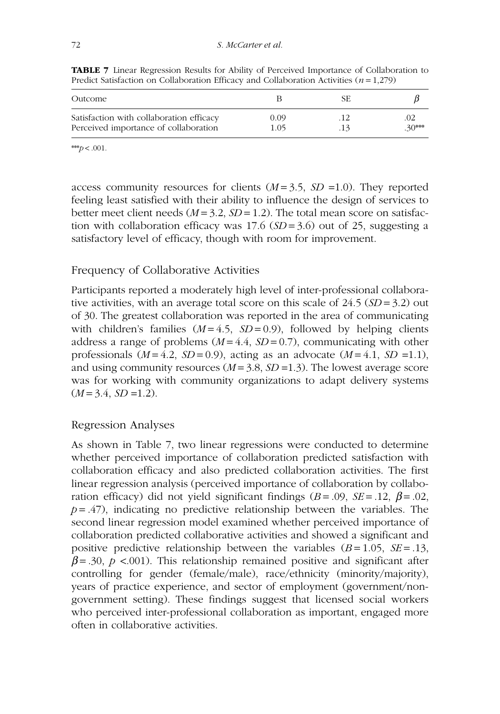| Outcome                                                                           |              | SF. |         |
|-----------------------------------------------------------------------------------|--------------|-----|---------|
| Satisfaction with collaboration efficacy<br>Perceived importance of collaboration | 0.09<br>1 05 | 13  | $30***$ |

**TABLE 7** Linear Regression Results for Ability of Perceived Importance of Collaboration to Predict Satisfaction on Collaboration Efficacy and Collaboration Activities ( $n = 1,279$ )

\*\*\* $p < .001$ .

access community resources for clients  $(M=3.5, SD=1.0)$ . They reported feeling least satisfied with their ability to influence the design of services to better meet client needs ( $M = 3.2$ ,  $SD = 1.2$ ). The total mean score on satisfaction with collaboration efficacy was  $17.6$  (SD = 3.6) out of 25, suggesting a satisfactory level of efficacy, though with room for improvement.

# Frequency of Collaborative Activities

Participants reported a moderately high level of inter-professional collaborative activities, with an average total score on this scale of  $24.5$  ( $SD = 3.2$ ) out of 30. The greatest collaboration was reported in the area of communicating with children's families  $(M = 4.5, SD = 0.9)$ , followed by helping clients address a range of problems  $(M = 4.4, SD = 0.7)$ , communicating with other professionals  $(M=4.2, SD=0.9)$ , acting as an advocate  $(M=4.1, SD=1.1)$ , and using community resources  $(M = 3.8, SD = 1.3)$ . The lowest average score was for working with community organizations to adapt delivery systems  $(M = 3.4, SD = 1.2).$ 

# Regression Analyses

As shown in Table 7, two linear regressions were conducted to determine whether perceived importance of collaboration predicted satisfaction with collaboration efficacy and also predicted collaboration activities. The first linear regression analysis (perceived importance of collaboration by collaboration efficacy) did not yield significant findings ( $B = .09$ ,  $SE = .12$ ,  $\beta = .02$ ,  $p = .47$ ), indicating no predictive relationship between the variables. The second linear regression model examined whether perceived importance of collaboration predicted collaborative activities and showed a significant and positive predictive relationship between the variables  $(B=1.05, SE=.13,$  $\beta$ = .30, p <.001). This relationship remained positive and significant after controlling for gender (female/male), race/ethnicity (minority/majority), years of practice experience, and sector of employment (government/nongovernment setting). These findings suggest that licensed social workers who perceived inter-professional collaboration as important, engaged more often in collaborative activities.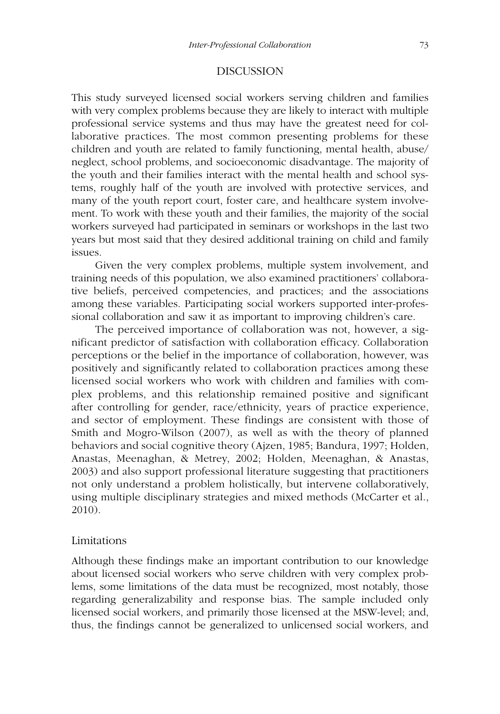### DISCUSSION

This study surveyed licensed social workers serving children and families with very complex problems because they are likely to interact with multiple professional service systems and thus may have the greatest need for collaborative practices. The most common presenting problems for these children and youth are related to family functioning, mental health, abuse/ neglect, school problems, and socioeconomic disadvantage. The majority of the youth and their families interact with the mental health and school systems, roughly half of the youth are involved with protective services, and many of the youth report court, foster care, and healthcare system involvement. To work with these youth and their families, the majority of the social workers surveyed had participated in seminars or workshops in the last two years but most said that they desired additional training on child and family issues.

Given the very complex problems, multiple system involvement, and training needs of this population, we also examined practitioners' collaborative beliefs, perceived competencies, and practices; and the associations among these variables. Participating social workers supported inter-professional collaboration and saw it as important to improving children's care.

The perceived importance of collaboration was not, however, a significant predictor of satisfaction with collaboration efficacy. Collaboration perceptions or the belief in the importance of collaboration, however, was positively and significantly related to collaboration practices among these licensed social workers who work with children and families with complex problems, and this relationship remained positive and significant after controlling for gender, race/ethnicity, years of practice experience, and sector of employment. These findings are consistent with those of Smith and Mogro-Wilson (2007), as well as with the theory of planned behaviors and social cognitive theory (Ajzen, 1985; Bandura, 1997; Holden, Anastas, Meenaghan, & Metrey, 2002; Holden, Meenaghan, & Anastas, 2003) and also support professional literature suggesting that practitioners not only understand a problem holistically, but intervene collaboratively, using multiple disciplinary strategies and mixed methods (McCarter et al., 2010).

### Limitations

Although these findings make an important contribution to our knowledge about licensed social workers who serve children with very complex problems, some limitations of the data must be recognized, most notably, those regarding generalizability and response bias. The sample included only licensed social workers, and primarily those licensed at the MSW-level; and, thus, the findings cannot be generalized to unlicensed social workers, and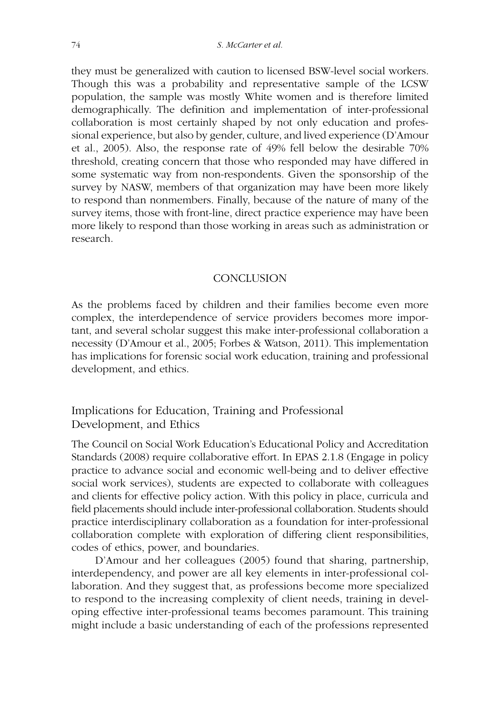they must be generalized with caution to licensed BSW-level social workers. Though this was a probability and representative sample of the LCSW population, the sample was mostly White women and is therefore limited demographically. The definition and implementation of inter-professional collaboration is most certainly shaped by not only education and professional experience, but also by gender, culture, and lived experience (D'Amour et al., 2005). Also, the response rate of 49% fell below the desirable 70% threshold, creating concern that those who responded may have differed in some systematic way from non-respondents. Given the sponsorship of the survey by NASW, members of that organization may have been more likely to respond than nonmembers. Finally, because of the nature of many of the survey items, those with front-line, direct practice experience may have been more likely to respond than those working in areas such as administration or research.

### **CONCLUSION**

As the problems faced by children and their families become even more complex, the interdependence of service providers becomes more important, and several scholar suggest this make inter-professional collaboration a necessity (D'Amour et al., 2005; Forbes & Watson, 2011). This implementation has implications for forensic social work education, training and professional development, and ethics.

# Implications for Education, Training and Professional Development, and Ethics

The Council on Social Work Education's Educational Policy and Accreditation Standards (2008) require collaborative effort. In EPAS 2.1.8 (Engage in policy practice to advance social and economic well-being and to deliver effective social work services), students are expected to collaborate with colleagues and clients for effective policy action. With this policy in place, curricula and field placements should include inter-professional collaboration. Students should practice interdisciplinary collaboration as a foundation for inter-professional collaboration complete with exploration of differing client responsibilities, codes of ethics, power, and boundaries.

D'Amour and her colleagues (2005) found that sharing, partnership, interdependency, and power are all key elements in inter-professional collaboration. And they suggest that, as professions become more specialized to respond to the increasing complexity of client needs, training in developing effective inter-professional teams becomes paramount. This training might include a basic understanding of each of the professions represented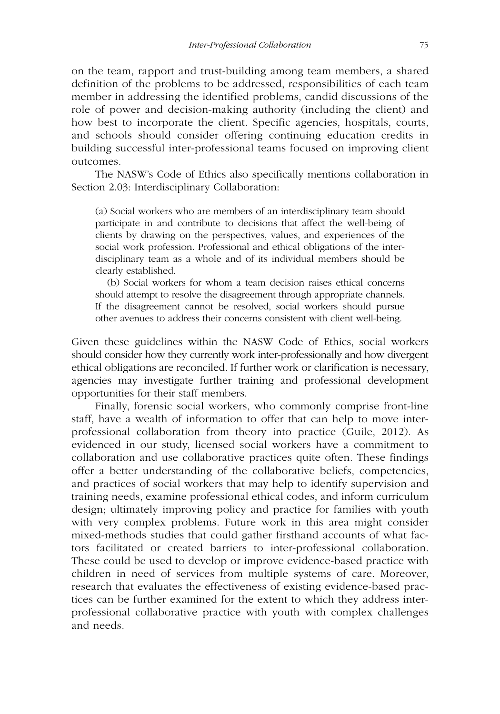on the team, rapport and trust-building among team members, a shared definition of the problems to be addressed, responsibilities of each team member in addressing the identified problems, candid discussions of the role of power and decision-making authority (including the client) and how best to incorporate the client. Specific agencies, hospitals, courts, and schools should consider offering continuing education credits in building successful inter-professional teams focused on improving client outcomes.

The NASW's Code of Ethics also specifically mentions collaboration in Section 2.03: Interdisciplinary Collaboration:

(a) Social workers who are members of an interdisciplinary team should participate in and contribute to decisions that affect the well-being of clients by drawing on the perspectives, values, and experiences of the social work profession. Professional and ethical obligations of the interdisciplinary team as a whole and of its individual members should be clearly established.

(b) Social workers for whom a team decision raises ethical concerns should attempt to resolve the disagreement through appropriate channels. If the disagreement cannot be resolved, social workers should pursue other avenues to address their concerns consistent with client well-being.

Given these guidelines within the NASW Code of Ethics, social workers should consider how they currently work inter-professionally and how divergent ethical obligations are reconciled. If further work or clarification is necessary, agencies may investigate further training and professional development opportunities for their staff members.

Finally, forensic social workers, who commonly comprise front-line staff, have a wealth of information to offer that can help to move interprofessional collaboration from theory into practice (Guile, 2012). As evidenced in our study, licensed social workers have a commitment to collaboration and use collaborative practices quite often. These findings offer a better understanding of the collaborative beliefs, competencies, and practices of social workers that may help to identify supervision and training needs, examine professional ethical codes, and inform curriculum design; ultimately improving policy and practice for families with youth with very complex problems. Future work in this area might consider mixed-methods studies that could gather firsthand accounts of what factors facilitated or created barriers to inter-professional collaboration. These could be used to develop or improve evidence-based practice with children in need of services from multiple systems of care. Moreover, research that evaluates the effectiveness of existing evidence-based practices can be further examined for the extent to which they address interprofessional collaborative practice with youth with complex challenges and needs.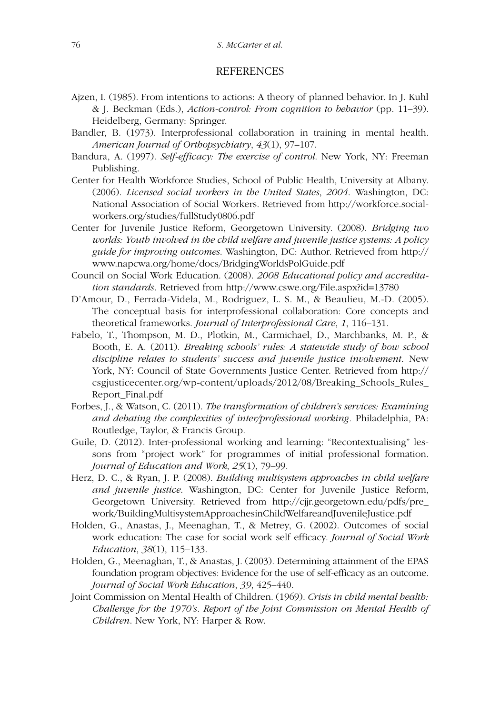#### **REFERENCES**

- Ajzen, I. (1985). From intentions to actions: A theory of planned behavior. In J. Kuhl & J. Beckman (Eds.), Action-control: From cognition to behavior (pp. 11–39). Heidelberg, Germany: Springer.
- Bandler, B. (1973). Interprofessional collaboration in training in mental health. American Journal of Orthopsychiatry, 43(1), 97–107.
- Bandura, A. (1997). Self-efficacy: The exercise of control. New York, NY: Freeman Publishing.
- Center for Health Workforce Studies, School of Public Health, University at Albany. (2006). Licensed social workers in the United States, 2004. Washington, DC: National Association of Social Workers. Retrieved from http://workforce.socialworkers.org/studies/fullStudy0806.pdf
- Center for Juvenile Justice Reform, Georgetown University. (2008). Bridging two worlds: Youth involved in the child welfare and juvenile justice systems: A policy guide for improving outcomes. Washington, DC: Author. Retrieved from http:// www.napcwa.org/home/docs/BridgingWorldsPolGuide.pdf
- Council on Social Work Education. (2008). 2008 Educational policy and accreditation standards. Retrieved from http://www.cswe.org/File.aspx?id=13780
- D'Amour, D., Ferrada-Videla, M., Rodriguez, L. S. M., & Beaulieu, M.-D. (2005). The conceptual basis for interprofessional collaboration: Core concepts and theoretical frameworks. Journal of Interprofessional Care, 1, 116–131.
- Fabelo, T., Thompson, M. D., Plotkin, M., Carmichael, D., Marchbanks, M. P., & Booth, E. A. (2011). Breaking schools' rules: A statewide study of how school discipline relates to students' success and juvenile justice involvement. New York, NY: Council of State Governments Justice Center. Retrieved from http:// csgjusticecenter.org/wp-content/uploads/2012/08/Breaking\_Schools\_Rules\_ Report\_Final.pdf
- Forbes, J., & Watson, C. (2011). The transformation of children's services: Examining and debating the complexities of inter/professional working. Philadelphia, PA: Routledge, Taylor, & Francis Group.
- Guile, D. (2012). Inter-professional working and learning: "Recontextualising" lessons from "project work" for programmes of initial professional formation. Journal of Education and Work, 25(1), 79–99.
- Herz, D. C., & Ryan, J. P. (2008). Building multisystem approaches in child welfare and juvenile justice. Washington, DC: Center for Juvenile Justice Reform, Georgetown University. Retrieved from http://cjjr.georgetown.edu/pdfs/pre\_ work/BuildingMultisystemApproachesinChildWelfareandJuvenileJustice.pdf
- Holden, G., Anastas, J., Meenaghan, T., & Metrey, G. (2002). Outcomes of social work education: The case for social work self efficacy. Journal of Social Work Education, 38(1), 115–133.
- Holden, G., Meenaghan, T., & Anastas, J. (2003). Determining attainment of the EPAS foundation program objectives: Evidence for the use of self-efficacy as an outcome. Journal of Social Work Education, 39, 425–440.
- Joint Commission on Mental Health of Children. (1969). Crisis in child mental health: Challenge for the 1970's. Report of the Joint Commission on Mental Health of Children. New York, NY: Harper & Row.